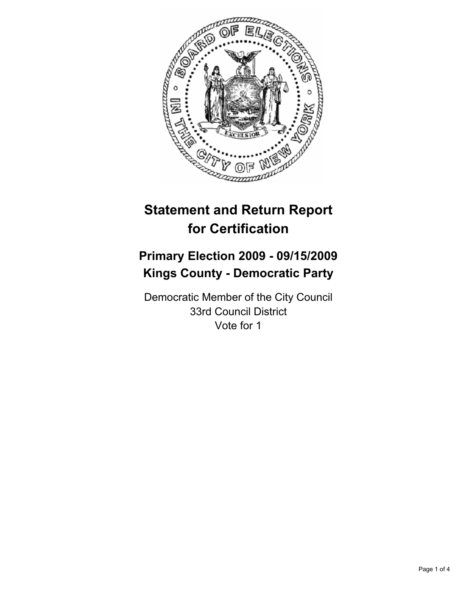

# **Statement and Return Report for Certification**

## **Primary Election 2009 - 09/15/2009 Kings County - Democratic Party**

Democratic Member of the City Council 33rd Council District Vote for 1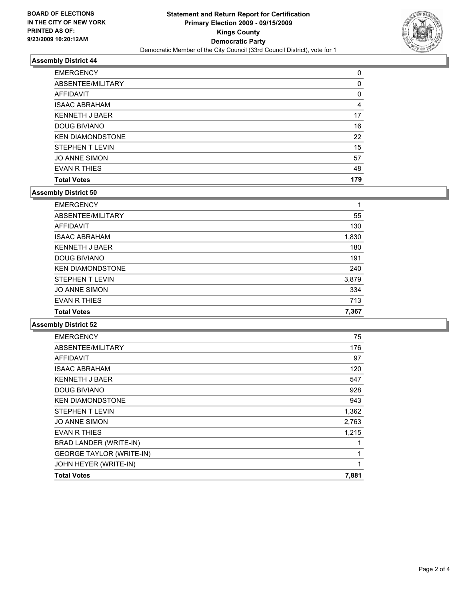

### **Assembly District 44**

| <b>EMERGENCY</b>        | 0   |
|-------------------------|-----|
| ABSENTEE/MILITARY       | 0   |
| AFFIDAVIT               | 0   |
| <b>ISAAC ABRAHAM</b>    | 4   |
| <b>KENNETH J BAER</b>   | 17  |
| <b>DOUG BIVIANO</b>     | 16  |
| <b>KEN DIAMONDSTONE</b> | 22  |
| <b>STEPHEN T LEVIN</b>  | 15  |
| <b>JO ANNE SIMON</b>    | 57  |
| <b>EVAN R THIES</b>     | 48  |
| <b>Total Votes</b>      | 179 |

#### **Assembly District 50**

| <b>EMERGENCY</b>        | 1     |
|-------------------------|-------|
| ABSENTEE/MILITARY       | 55    |
| <b>AFFIDAVIT</b>        | 130   |
| <b>ISAAC ABRAHAM</b>    | 1,830 |
| <b>KENNETH J BAER</b>   | 180   |
| <b>DOUG BIVIANO</b>     | 191   |
| <b>KEN DIAMONDSTONE</b> | 240   |
| <b>STEPHEN T LEVIN</b>  | 3,879 |
| <b>JO ANNE SIMON</b>    | 334   |
| <b>EVAN R THIES</b>     | 713   |
| <b>Total Votes</b>      | 7.367 |

**Assembly District 52**

| <b>EMERGENCY</b>                | 75    |
|---------------------------------|-------|
| ABSENTEE/MILITARY               | 176   |
| <b>AFFIDAVIT</b>                | 97    |
| <b>ISAAC ABRAHAM</b>            | 120   |
| <b>KENNETH J BAER</b>           | 547   |
| <b>DOUG BIVIANO</b>             | 928   |
| <b>KEN DIAMONDSTONE</b>         | 943   |
| <b>STEPHEN T LEVIN</b>          | 1,362 |
| <b>JO ANNE SIMON</b>            | 2,763 |
| EVAN R THIES                    | 1,215 |
| BRAD LANDER (WRITE-IN)          | 1     |
| <b>GEORGE TAYLOR (WRITE-IN)</b> | 1     |
| JOHN HEYER (WRITE-IN)           | 1     |
| <b>Total Votes</b>              | 7,881 |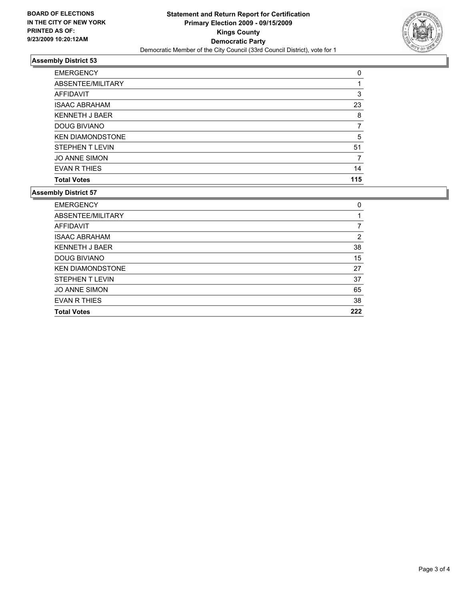

#### **Assembly District 53**

| <b>Total Votes</b>      | 115 |
|-------------------------|-----|
| EVAN R THIES            | 14  |
| <b>JO ANNE SIMON</b>    | 7   |
| <b>STEPHEN T LEVIN</b>  | 51  |
| <b>KEN DIAMONDSTONE</b> | 5   |
| DOUG BIVIANO            |     |
| <b>KENNETH J BAER</b>   | 8   |
| <b>ISAAC ABRAHAM</b>    | 23  |
| AFFIDAVIT               | 3   |
| ABSENTEE/MILITARY       | 1   |
| <b>EMERGENCY</b>        | 0   |

#### **Assembly District 57**

| <b>EMERGENCY</b>        | 0   |
|-------------------------|-----|
| ABSENTEE/MILITARY       |     |
| <b>AFFIDAVIT</b>        | 7   |
| <b>ISAAC ABRAHAM</b>    | 2   |
| <b>KENNETH J BAER</b>   | 38  |
| <b>DOUG BIVIANO</b>     | 15  |
| <b>KEN DIAMONDSTONE</b> | 27  |
| <b>STEPHEN T LEVIN</b>  | 37  |
| <b>JO ANNE SIMON</b>    | 65  |
| <b>EVAN R THIES</b>     | 38  |
| <b>Total Votes</b>      | 222 |